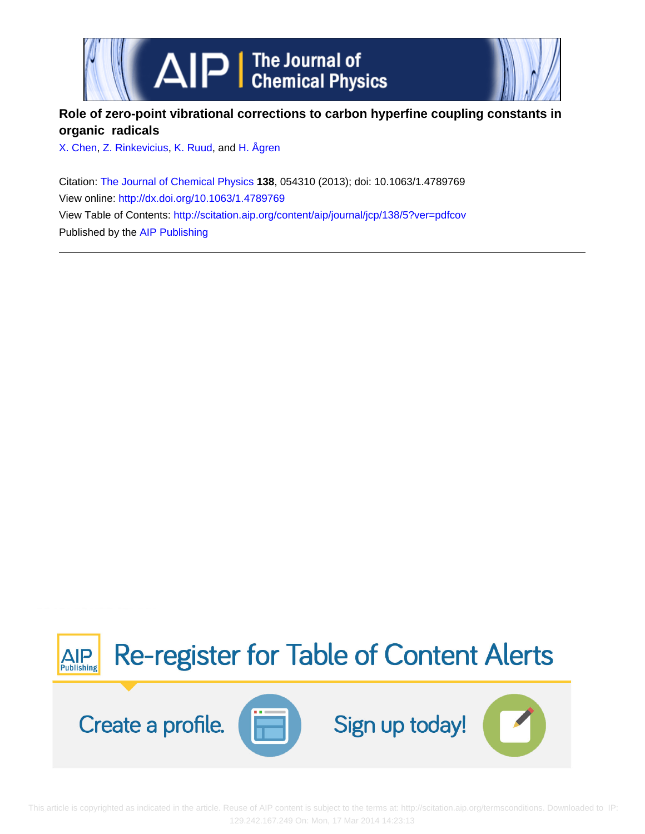



# **Role of zero-point vibrational corrections to carbon hyperfine coupling constants in organic radicals**

[X. Chen](http://scitation.aip.org/search?value1=X.+Chen&option1=author), [Z. Rinkevicius,](http://scitation.aip.org/search?value1=Z.+Rinkevicius&option1=author) [K. Ruud,](http://scitation.aip.org/search?value1=K.+Ruud&option1=author) and [H. Ågren](http://scitation.aip.org/search?value1=H.+�gren&option1=author)

Citation: [The Journal of Chemical Physics](http://scitation.aip.org/content/aip/journal/jcp?ver=pdfcov) **138**, 054310 (2013); doi: 10.1063/1.4789769 View online: <http://dx.doi.org/10.1063/1.4789769> View Table of Contents: <http://scitation.aip.org/content/aip/journal/jcp/138/5?ver=pdfcov> Published by the [AIP Publishing](http://scitation.aip.org/content/aip?ver=pdfcov)



 This article is copyrighted as indicated in the article. Reuse of AIP content is subject to the terms at: http://scitation.aip.org/termsconditions. Downloaded to IP: 129.242.167.249 On: Mon, 17 Mar 2014 14:23:13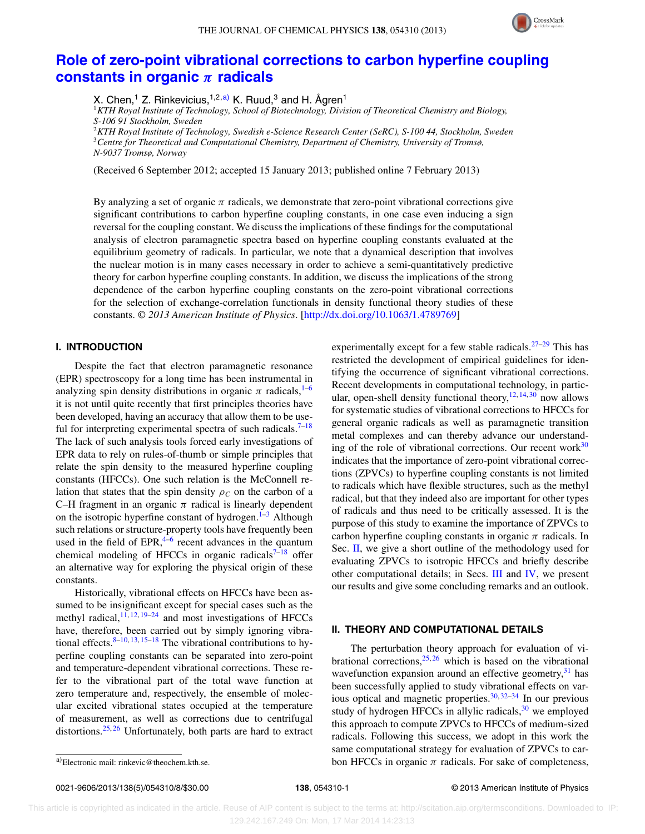

# **[Role of zero-point vibrational corrections to carbon hyperfine coupling](http://dx.doi.org/10.1063/1.4789769) [constants in organic](http://dx.doi.org/10.1063/1.4789769)** *π* **radicals**

X. Chen,<sup>1</sup> Z. Rinkevicius, <sup>1,2,a</sup>) K. Ruud,<sup>3</sup> and H. Ågren<sup>1</sup>

<sup>1</sup>*KTH Royal Institute of Technology, School of Biotechnology, Division of Theoretical Chemistry and Biology, S-106 91 Stockholm, Sweden*

<sup>2</sup>*KTH Royal Institute of Technology, Swedish e-Science Research Center (SeRC), S-100 44, Stockholm, Sweden* <sup>3</sup>*Centre for Theoretical and Computational Chemistry, Department of Chemistry, University of Tromsø, N-9037 Tromsø, Norway*

(Received 6 September 2012; accepted 15 January 2013; published online 7 February 2013)

By analyzing a set of organic  $\pi$  radicals, we demonstrate that zero-point vibrational corrections give significant contributions to carbon hyperfine coupling constants, in one case even inducing a sign reversal for the coupling constant. We discuss the implications of these findings for the computational analysis of electron paramagnetic spectra based on hyperfine coupling constants evaluated at the equilibrium geometry of radicals. In particular, we note that a dynamical description that involves the nuclear motion is in many cases necessary in order to achieve a semi-quantitatively predictive theory for carbon hyperfine coupling constants. In addition, we discuss the implications of the strong dependence of the carbon hyperfine coupling constants on the zero-point vibrational corrections for the selection of exchange-correlation functionals in density functional theory studies of these constants. *© 2013 American Institute of Physics*. [\[http://dx.doi.org/10.1063/1.4789769\]](http://dx.doi.org/10.1063/1.4789769)

### **I. INTRODUCTION**

Despite the fact that electron paramagnetic resonance (EPR) spectroscopy for a long time has been instrumental in analyzing spin density distributions in organic  $\pi$  radicals,  $1-6$  $1-6$ it is not until quite recently that first principles theories have been developed, having an accuracy that allow them to be use-ful for interpreting experimental spectra of such radicals.<sup>7-[18](#page-8-3)</sup> The lack of such analysis tools forced early investigations of EPR data to rely on rules-of-thumb or simple principles that relate the spin density to the measured hyperfine coupling constants (HFCCs). One such relation is the McConnell relation that states that the spin density  $\rho_c$  on the carbon of a C–H fragment in an organic  $\pi$  radical is linearly dependent on the isotropic hyperfine constant of hydrogen. $1-3$  $1-3$  Although such relations or structure-property tools have frequently been used in the field of  $EPR<sub>+</sub><sup>4–6</sup>$  $EPR<sub>+</sub><sup>4–6</sup>$  $EPR<sub>+</sub><sup>4–6</sup>$  recent advances in the quantum chemical modeling of HFCCs in organic radicals<sup>7–[18](#page-8-3)</sup> offer an alternative way for exploring the physical origin of these constants.

Historically, vibrational effects on HFCCs have been assumed to be insignificant except for special cases such as the methyl radical,  $^{11, 12, 19-24}$  $^{11, 12, 19-24}$  $^{11, 12, 19-24}$  $^{11, 12, 19-24}$  $^{11, 12, 19-24}$  and most investigations of HFCCs have, therefore, been carried out by simply ignoring vibrational effects. $8-10, 13, 15-18$  $8-10, 13, 15-18$  $8-10, 13, 15-18$  $8-10, 13, 15-18$  $8-10, 13, 15-18$  $8-10, 13, 15-18$  $8-10, 13, 15-18$  The vibrational contributions to hyperfine coupling constants can be separated into zero-point and temperature-dependent vibrational corrections. These refer to the vibrational part of the total wave function at zero temperature and, respectively, the ensemble of molecular excited vibrational states occupied at the temperature of measurement, as well as corrections due to centrifugal distortions.<sup>[25,](#page-8-14) [26](#page-8-15)</sup> Unfortunately, both parts are hard to extract experimentally except for a few stable radicals. $27-29$  $27-29$  This has restricted the development of empirical guidelines for identifying the occurrence of significant vibrational corrections. Recent developments in computational technology, in particular, open-shell density functional theory,  $12, 14, 30$  $12, 14, 30$  $12, 14, 30$  $12, 14, 30$  $12, 14, 30$  now allows for systematic studies of vibrational corrections to HFCCs for general organic radicals as well as paramagnetic transition metal complexes and can thereby advance our understanding of the role of vibrational corrections. Our recent work $30$ indicates that the importance of zero-point vibrational corrections (ZPVCs) to hyperfine coupling constants is not limited to radicals which have flexible structures, such as the methyl radical, but that they indeed also are important for other types of radicals and thus need to be critically assessed. It is the purpose of this study to examine the importance of ZPVCs to carbon hyperfine coupling constants in organic *π* radicals. In Sec. [II,](#page-1-1) we give a short outline of the methodology used for evaluating ZPVCs to isotropic HFCCs and briefly describe other computational details; in Secs. [III](#page-2-0) and [IV,](#page-7-0) we present our results and give some concluding remarks and an outlook.

#### <span id="page-1-1"></span>**II. THEORY AND COMPUTATIONAL DETAILS**

The perturbation theory approach for evaluation of vibrational corrections,  $25, 26$  $25, 26$  which is based on the vibrational wavefunction expansion around an effective geometry,  $31$  has been successfully applied to study vibrational effects on var-ious optical and magnetic properties.<sup>[30,](#page-8-19) [32–](#page-8-21)[34](#page-8-22)</sup> In our previous study of hydrogen HFCCs in allylic radicals, $30$  we employed this approach to compute ZPVCs to HFCCs of medium-sized radicals. Following this success, we adopt in this work the same computational strategy for evaluation of ZPVCs to carbon HFCCs in organic  $\pi$  radicals. For sake of completeness,

<span id="page-1-0"></span>a)Electronic mail: [rinkevic@theochem.kth.se.](mailto: rinkevic@theochem.kth.se)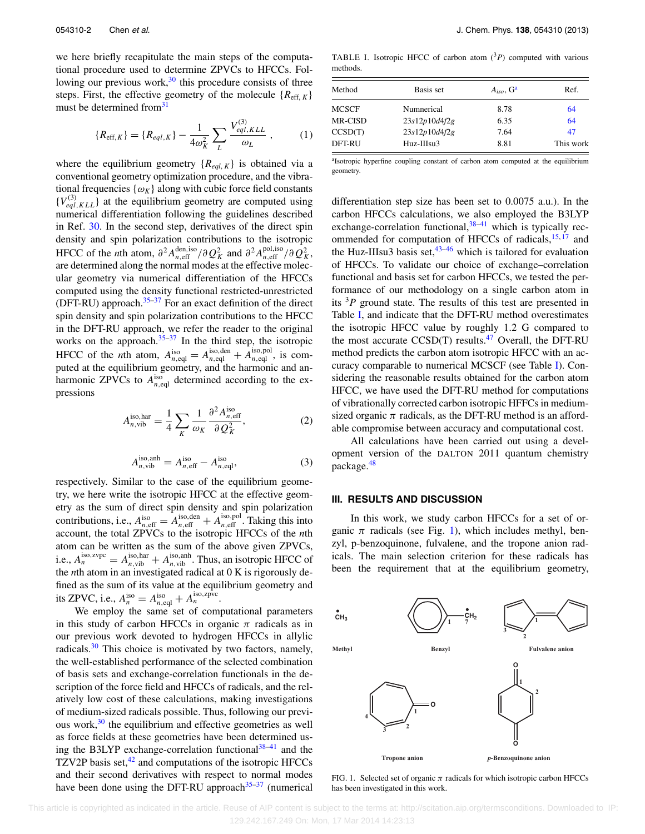we here briefly recapitulate the main steps of the computational procedure used to determine ZPVCs to HFCCs. Following our previous work, $30$  this procedure consists of three steps. First, the effective geometry of the molecule  ${R_{\text{eff}, K}}$ must be determined from<sup>31</sup>

$$
\{R_{\text{eff},K}\} = \{R_{eql,K}\} - \frac{1}{4\omega_K^2} \sum_{L} \frac{V_{eql,KLL}^{(3)}}{\omega_L} \,,\tag{1}
$$

where the equilibrium geometry  ${R_{eql, K}}$  is obtained via a conventional geometry optimization procedure, and the vibrational frequencies  $\{\omega_K\}$  along with cubic force field constants  ${V}_{eql,KLL}^{(3)}$  at the equilibrium geometry are computed using numerical differentiation following the guidelines described in Ref. [30.](#page-8-19) In the second step, derivatives of the direct spin density and spin polarization contributions to the isotropic HFCC of the *n*th atom,  $\partial^2 A_{n,\text{eff}}^{\text{den,iso}} / \partial Q_K^2$  and  $\partial^2 A_{n,\text{eff}}^{\text{pol,iso}} / \partial Q_K^2$ , are determined along the normal modes at the effective molecular geometry via numerical differentiation of the HFCCs computed using the density functional restricted-unrestricted (DFT-RU) approach. $35-37$  For an exact definition of the direct spin density and spin polarization contributions to the HFCC in the DFT-RU approach, we refer the reader to the original works on the approach. $35-37$  $35-37$  In the third step, the isotropic HFCC of the *n*th atom,  $A_{n,\text{eql}}^{\text{iso}} = A_{n,\text{eql}}^{\text{iso,den}} + A_{n,\text{eql}}^{\text{iso,pol}}$ , is computed at the equilibrium geometry, and the harmonic and anharmonic ZPVCs to  $A_{n,\text{eq}}^{\text{iso}}$  determined according to the expressions

$$
A_{n,\text{vib}}^{\text{iso},\text{har}} = \frac{1}{4} \sum_{K} \frac{1}{\omega_K} \frac{\partial^2 A_{n,\text{eff}}^{\text{iso}}}{\partial Q_K^2},\tag{2}
$$

$$
A_{n,\text{vib}}^{\text{iso},\text{anh}} = A_{n,\text{eff}}^{\text{iso}} - A_{n,\text{eq}}^{\text{iso}},\tag{3}
$$

respectively. Similar to the case of the equilibrium geometry, we here write the isotropic HFCC at the effective geometry as the sum of direct spin density and spin polarization contributions, i.e.,  $A_{n,eff}^{iso} = A_{n,eff}^{iso,den} + A_{n,eff}^{iso,pol}$ . Taking this into account, the total ZPVCs to the isotropic HFCCs of the *n*th atom can be written as the sum of the above given ZPVCs, i.e.,  $A_n^{\text{iso,zvpc}} = A_{n,\text{vib}}^{\text{iso,har}} + A_{n,\text{vib}}^{\text{iso,anh}}$ . Thus, an isotropic HFCC of the *n*th atom in an investigated radical at 0 K is rigorously defined as the sum of its value at the equilibrium geometry and its ZPVC, i.e.,  $A_n^{\text{iso}} = A_{n,\text{eql}}^{\text{iso}} + A_n^{\text{iso,2pvc}}$ .

We employ the same set of computational parameters in this study of carbon HFCCs in organic *π* radicals as in our previous work devoted to hydrogen HFCCs in allylic radicals. $30$  This choice is motivated by two factors, namely, the well-established performance of the selected combination of basis sets and exchange-correlation functionals in the description of the force field and HFCCs of radicals, and the relatively low cost of these calculations, making investigations of medium-sized radicals possible. Thus, following our previous work, $30$  the equilibrium and effective geometries as well as force fields at these geometries have been determined us-ing the B3LYP exchange-correlation functional<sup>38-[41](#page-8-26)</sup> and the TZV2P basis set, $42$  and computations of the isotropic HFCCs and their second derivatives with respect to normal modes have been done using the DFT-RU approach<sup>35[–37](#page-8-24)</sup> (numerical

<span id="page-2-2"></span>TABLE I. Isotropic HFCC of carbon atom  $({}^3P)$  computed with various methods.

| Method       | Basis set     | $A_{iso}$ , $G^a$ | Ref.      |  |
|--------------|---------------|-------------------|-----------|--|
| <b>MCSCF</b> | Numnerical    | 8.78              | 64        |  |
| MR-CISD      | 23s12p10d4f2g | 6.35              | 64        |  |
| CCSD(T)      | 23s12p10d4f2g | 7.64              | 47        |  |
| DFT-RU       | Huz-IIIsu3    | 8.81              | This work |  |

<span id="page-2-1"></span><sup>a</sup>Isotropic hyperfine coupling constant of carbon atom computed at the equilibrium geometry.

differentiation step size has been set to 0.0075 a.u.). In the carbon HFCCs calculations, we also employed the B3LYP exchange-correlation functional, $38-41$  $38-41$  which is typically recommended for computation of HFCCs of radicals, $15,17$  $15,17$  and the Huz-IIIsu3 basis set, $43-46$  $43-46$  which is tailored for evaluation of HFCCs. To validate our choice of exchange–correlation functional and basis set for carbon HFCCs, we tested the performance of our methodology on a single carbon atom in its <sup>3</sup>*P* ground state. The results of this test are presented in Table [I,](#page-2-2) and indicate that the DFT-RU method overestimates the isotropic HFCC value by roughly 1.2 G compared to the most accurate  $CCSD(T)$  results.<sup>[47](#page-8-29)</sup> Overall, the DFT-RU method predicts the carbon atom isotropic HFCC with an accuracy comparable to numerical MCSCF (see Table [I\)](#page-2-2). Considering the reasonable results obtained for the carbon atom HFCC, we have used the DFT-RU method for computations of vibrationally corrected carbon isotropic HFFCs in mediumsized organic  $\pi$  radicals, as the DFT-RU method is an affordable compromise between accuracy and computational cost.

All calculations have been carried out using a development version of the DALTON 2011 quantum chemistry package[.48](#page-8-33)

#### <span id="page-2-0"></span>**III. RESULTS AND DISCUSSION**

In this work, we study carbon HFCCs for a set of organic  $\pi$  radicals (see Fig. [1\)](#page-2-3), which includes methyl, benzyl, p-benzoquinone, fulvalene, and the tropone anion radicals. The main selection criterion for these radicals has been the requirement that at the equilibrium geometry,

<span id="page-2-3"></span>

FIG. 1. Selected set of organic  $\pi$  radicals for which isotropic carbon HFCCs has been investigated in this work.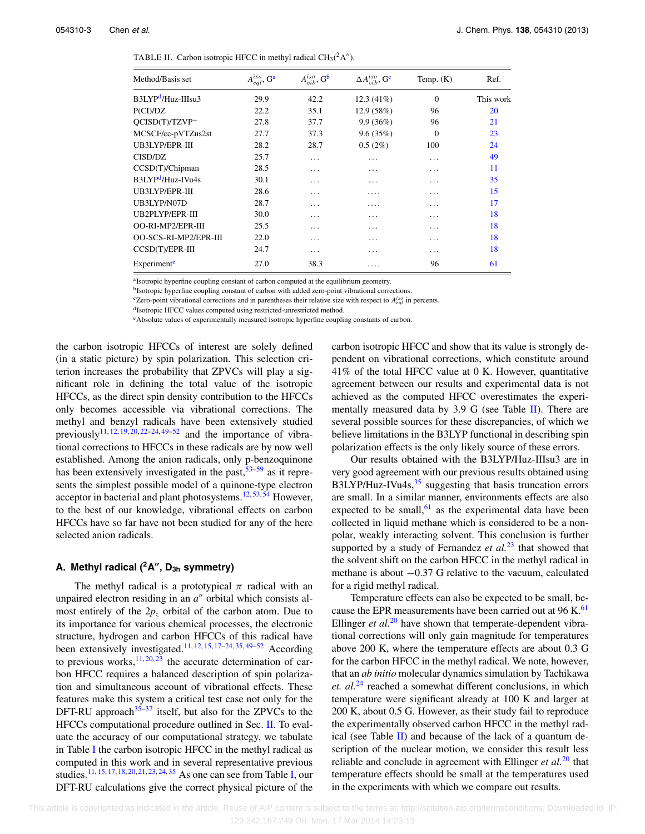<span id="page-3-5"></span>

|  |  | TABLE II. Carbon isotropic HFCC in methyl radical $CH3(2A'')$ . |  |  |  |  |
|--|--|-----------------------------------------------------------------|--|--|--|--|
|--|--|-----------------------------------------------------------------|--|--|--|--|

| Method/Basis set               | $A_{eql}^{iso}$ , $G^a$ | $A_{vib}^{iso}$ , G <sup>b</sup> | $\Delta A_{vib}^{iso}$ , G <sup>c</sup> | Temp. $(K)$ | Ref.      |
|--------------------------------|-------------------------|----------------------------------|-----------------------------------------|-------------|-----------|
| B3LYP <sup>d</sup> /Huz-IIIsu3 | 29.9                    | 42.2                             | $12.3(41\%)$                            | $\Omega$    | This work |
| P(Cl)/DZ                       | 22.2                    | 35.1                             | 12.9 (58%)                              | 96          | 20        |
| QCISD(T)/TZVP <sup>-</sup>     | 27.8                    | 37.7                             | 9.9(36%)                                | 96          | 21        |
| MCSCF/cc-pVTZus2st             | 27.7                    | 37.3                             | 9.6(35%)                                | $\Omega$    | 23        |
| UB3LYP/EPR-III                 | 28.2                    | 28.7                             | 0.5(2%)                                 | 100         | 24        |
| CISD/DZ                        | 25.7                    | $\cdots$                         | .                                       | .           | 49        |
| CCSD(T)/Chipman                | 28.5                    | .                                | .                                       | .           | 11        |
| B3LYP <sup>d</sup> /Huz-IVu4s  | 30.1                    | .                                | .                                       | .           | 35        |
| UB3LYP/EPR-III                 | 28.6                    | .                                | .                                       | .           | 15        |
| UB3LYP/N07D                    | 28.7                    | .                                | .                                       | .           | 17        |
| UB2PLYP/EPR-III                | 30.0                    | .                                | .                                       | .           | 18        |
| OO-RI-MP2/EPR-III              | 25.5                    | .                                | .                                       | .           | 18        |
| OO-SCS-RI-MP2/EPR-III          | 22.0                    | .                                | .                                       | .           | 18        |
| CCSD(T)/EPR-III                | 24.7                    | .                                | .                                       | .           | 18        |
| Experiment <sup>e</sup>        | 27.0                    | 38.3                             |                                         | 96          | 61        |

<span id="page-3-0"></span><sup>a</sup>Isotropic hyperfine coupling constant of carbon computed at the equilibrium geometry.

<span id="page-3-1"></span><sup>b</sup>Isotropic hyperfine coupling constant of carbon with added zero-point vibrational corrections.

<span id="page-3-2"></span><sup>c</sup>Zero-point vibrational corrections and in parentheses their relative size with respect to  $A_{eql}^{iso}$  in percents.

<sup>d</sup>Isotropic HFCC values computed using restricted-unrestricted method.

<span id="page-3-4"></span><span id="page-3-3"></span><sup>e</sup> Absolute values of experimentally measured isotropic hyperfine coupling constants of carbon.

the carbon isotropic HFCCs of interest are solely defined (in a static picture) by spin polarization. This selection criterion increases the probability that ZPVCs will play a significant role in defining the total value of the isotropic HFCCs, as the direct spin density contribution to the HFCCs only becomes accessible via vibrational corrections. The methyl and benzyl radicals have been extensively studied previously<sup>11, [12,](#page-8-7) [19,](#page-8-8) [20,](#page-8-34) [22–](#page-8-39)[24,](#page-8-9) [49](#page-8-37)[–52](#page-8-40)</sup> and the importance of vibrational corrections to HFCCs in these radicals are by now well established. Among the anion radicals, only p-benzoquinone has been extensively investigated in the past,  $\frac{53-59}{9}$  as it represents the simplest possible model of a quinone-type electron acceptor in bacterial and plant photosystems.<sup>[12,](#page-8-7) [53,](#page-8-41) [54](#page-8-43)</sup> However, to the best of our knowledge, vibrational effects on carbon HFCCs have so far have not been studied for any of the here selected anion radicals.

# **A. Methyl radical (2A--, D3h symmetry)**

The methyl radical is a prototypical  $\pi$  radical with an unpaired electron residing in an  $a''$  orbital which consists almost entirely of the  $2p<sub>z</sub>$  orbital of the carbon atom. Due to its importance for various chemical processes, the electronic structure, hydrogen and carbon HFCCs of this radical have been extensively investigated.<sup>11, [12,](#page-8-7) [15,](#page-8-13) [17](#page-8-30)[–24,](#page-8-9) [35,](#page-8-23) [49–](#page-8-37)[52](#page-8-40)</sup> According to previous works,  $\frac{11, 20, 23}{1}$  $\frac{11, 20, 23}{1}$  $\frac{11, 20, 23}{1}$  $\frac{11, 20, 23}{1}$  $\frac{11, 20, 23}{1}$  the accurate determination of carbon HFCC requires a balanced description of spin polarization and simultaneous account of vibrational effects. These features make this system a critical test case not only for the DFT-RU approach<sup>35–[37](#page-8-24)</sup> itself, but also for the ZPVCs to the HFCCs computational procedure outlined in Sec. [II.](#page-1-1) To evaluate the accuracy of our computational strategy, we tabulate in Table [I](#page-2-2) the carbon isotropic HFCC in the methyl radical as computed in this work and in several representative previous studies.[11,](#page-8-6) [15,](#page-8-13) [17,](#page-8-30) [18,](#page-8-3) [20,](#page-8-34) [21,](#page-8-35) [23,](#page-8-36) [24,](#page-8-9) [35](#page-8-23) As one can see from Table [I,](#page-2-2) our DFT-RU calculations give the correct physical picture of the carbon isotropic HFCC and show that its value is strongly dependent on vibrational corrections, which constitute around 41% of the total HFCC value at 0 K. However, quantitative agreement between our results and experimental data is not achieved as the computed HFCC overestimates the experi-mentally measured data by 3.9 G (see Table [II\)](#page-3-5). There are several possible sources for these discrepancies, of which we believe limitations in the B3LYP functional in describing spin polarization effects is the only likely source of these errors.

Our results obtained with the B3LYP/Huz-IIIsu3 are in very good agreement with our previous results obtained using B3LYP/Huz-IVu4s,<sup>35</sup> suggesting that basis truncation errors are small. In a similar manner, environments effects are also expected to be small,  $61$  as the experimental data have been collected in liquid methane which is considered to be a nonpolar, weakly interacting solvent. This conclusion is further supported by a study of Fernandez *et al.*[23](#page-8-36) that showed that the solvent shift on the carbon HFCC in the methyl radical in methane is about −0.37 G relative to the vacuum, calculated for a rigid methyl radical.

Temperature effects can also be expected to be small, because the EPR measurements have been carried out at  $96 K<sup>61</sup>$ Ellinger *et al.*<sup>[20](#page-8-34)</sup> have shown that temperate-dependent vibrational corrections will only gain magnitude for temperatures above 200 K, where the temperature effects are about 0.3 G for the carbon HFCC in the methyl radical. We note, however, that an *ab initio* molecular dynamics simulation by Tachikawa *et. al.*[24](#page-8-9) reached a somewhat different conclusions, in which temperature were significant already at 100 K and larger at 200 K, about 0.5 G. However, as their study fail to reproduce the experimentally observed carbon HFCC in the methyl rad-ical (see Table [II\)](#page-3-5) and because of the lack of a quantum description of the nuclear motion, we consider this result less reliable and conclude in agreement with Ellinger *et al.*[20](#page-8-34) that temperature effects should be small at the temperatures used in the experiments with which we compare out results.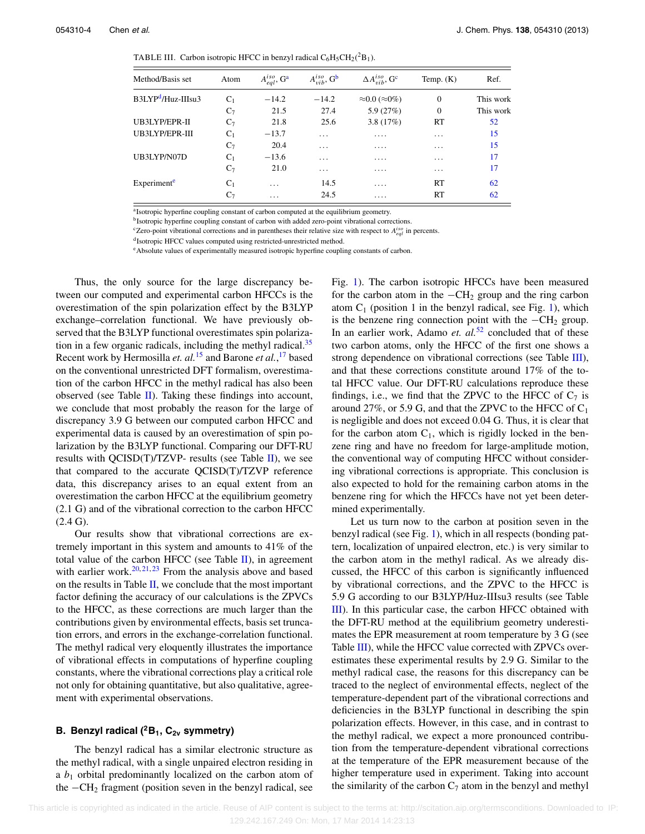<span id="page-4-5"></span>TABLE III. Carbon isotropic HFCC in benzyl radical  $C_6H_5CH_2(^2B_1)$ .

| Method/Basis set               | Atom           | $A_{eql}^{iso}$ , $G^a$ | $A_{vib}^{iso}$ , $G^b$ | $\Delta A_{vib}^{iso}$ , G <sup>c</sup> | Temp. $(K)$    | Ref.      |
|--------------------------------|----------------|-------------------------|-------------------------|-----------------------------------------|----------------|-----------|
| B3LYP <sup>d</sup> /Huz-IIIsu3 | C <sub>1</sub> | $-14.2$                 | $-14.2$                 | $\approx 0.0$ ( $\approx 0\%$ )         | $\overline{0}$ | This work |
|                                | C <sub>7</sub> | 21.5                    | 27.4                    | 5.9 $(27%)$                             | $\overline{0}$ | This work |
| UB3LYP/EPR-II                  | C <sub>7</sub> | 21.8                    | 25.6                    | 3.8(17%)                                | RT             | 52        |
| UB3LYP/EPR-III                 | $C_1$          | $-13.7$                 | $\cdots$                | $\cdots$                                | $\cdots$       | 15        |
|                                | C <sub>7</sub> | 20.4                    | $\cdots$                | $\cdots$                                | .              | 15        |
| UB3LYP/N07D                    | $C_1$          | $-13.6$                 | $\cdots$                | $\cdots$                                | .              | 17        |
|                                | C <sub>7</sub> | 21.0                    | $\cdots$                | $\cdots$                                | .              | 17        |
| Experiment <sup>e</sup>        | $C_1$          | $\cdot$                 | 14.5                    | .                                       | RT             | 62        |
|                                | C <sub>7</sub> | $\cdots$                | 24.5                    | $\cdots$                                | RT             | 62        |

<span id="page-4-0"></span><sup>a</sup> Isotropic hyperfine coupling constant of carbon computed at the equilibrium geometry.

<span id="page-4-1"></span>bIsotropic hyperfine coupling constant of carbon with added zero-point vibrational corrections.

<span id="page-4-2"></span><sup>c</sup>Zero-point vibrational corrections and in parentheses their relative size with respect to  $A_{eql}^{iso}$  in percents.

<span id="page-4-3"></span>dIsotropic HFCC values computed using restricted-unrestricted method.

<span id="page-4-4"></span>eAbsolute values of experimentally measured isotropic hyperfine coupling constants of carbon.

Thus, the only source for the large discrepancy between our computed and experimental carbon HFCCs is the overestimation of the spin polarization effect by the B3LYP exchange–correlation functional. We have previously observed that the B3LYP functional overestimates spin polarization in a few organic radicals, including the methyl radical. $35$ Recent work by Hermosilla *et. al.*[15](#page-8-13) and Barone *et al.*, [17](#page-8-30) based on the conventional unrestricted DFT formalism, overestimation of the carbon HFCC in the methyl radical has also been observed (see Table [II\)](#page-3-5). Taking these findings into account, we conclude that most probably the reason for the large of discrepancy 3.9 G between our computed carbon HFCC and experimental data is caused by an overestimation of spin polarization by the B3LYP functional. Comparing our DFT-RU results with  $QCISD(T)/TZVP$ - results (see Table [II\)](#page-3-5), we see that compared to the accurate QCISD(T)/TZVP reference data, this discrepancy arises to an equal extent from an overestimation the carbon HFCC at the equilibrium geometry (2.1 G) and of the vibrational correction to the carbon HFCC (2.4 G).

Our results show that vibrational corrections are extremely important in this system and amounts to 41% of the total value of the carbon HFCC (see Table  $II$ ), in agreement with earlier work.<sup>[20,](#page-8-34) [21,](#page-8-35) [23](#page-8-36)</sup> From the analysis above and based on the results in Table  $II$ , we conclude that the most important factor defining the accuracy of our calculations is the ZPVCs to the HFCC, as these corrections are much larger than the contributions given by environmental effects, basis set truncation errors, and errors in the exchange-correlation functional. The methyl radical very eloquently illustrates the importance of vibrational effects in computations of hyperfine coupling constants, where the vibrational corrections play a critical role not only for obtaining quantitative, but also qualitative, agreement with experimental observations.

# **B. Benzyl radical (<sup>2</sup>B<sub>1</sub>, C<sub>2v</sub> symmetry)**

The benzyl radical has a similar electronic structure as the methyl radical, with a single unpaired electron residing in a *b*<sup>1</sup> orbital predominantly localized on the carbon atom of the −CH2 fragment (position seven in the benzyl radical, see Fig. [1\)](#page-2-3). The carbon isotropic HFCCs have been measured for the carbon atom in the  $-CH_2$  group and the ring carbon atom  $C_1$  (position 1 in the benzyl radical, see Fig. [1\)](#page-2-3), which is the benzene ring connection point with the  $-CH_2$  group. In an earlier work, Adamo *et. al.*<sup>[52](#page-8-40)</sup> concluded that of these two carbon atoms, only the HFCC of the first one shows a strong dependence on vibrational corrections (see Table [III\)](#page-4-5), and that these corrections constitute around 17% of the total HFCC value. Our DFT-RU calculations reproduce these findings, i.e., we find that the ZPVC to the HFCC of  $C_7$  is around 27%, or 5.9 G, and that the ZPVC to the HFCC of  $C_1$ is negligible and does not exceed 0.04 G. Thus, it is clear that for the carbon atom  $C_1$ , which is rigidly locked in the benzene ring and have no freedom for large-amplitude motion, the conventional way of computing HFCC without considering vibrational corrections is appropriate. This conclusion is also expected to hold for the remaining carbon atoms in the benzene ring for which the HFCCs have not yet been determined experimentally.

Let us turn now to the carbon at position seven in the benzyl radical (see Fig. [1\)](#page-2-3), which in all respects (bonding pattern, localization of unpaired electron, etc.) is very similar to the carbon atom in the methyl radical. As we already discussed, the HFCC of this carbon is significantly influenced by vibrational corrections, and the ZPVC to the HFCC is 5.9 G according to our B3LYP/Huz-IIIsu3 results (see Table [III\)](#page-4-5). In this particular case, the carbon HFCC obtained with the DFT-RU method at the equilibrium geometry underestimates the EPR measurement at room temperature by 3 G (see Table [III\)](#page-4-5), while the HFCC value corrected with ZPVCs overestimates these experimental results by 2.9 G. Similar to the methyl radical case, the reasons for this discrepancy can be traced to the neglect of environmental effects, neglect of the temperature-dependent part of the vibrational corrections and deficiencies in the B3LYP functional in describing the spin polarization effects. However, in this case, and in contrast to the methyl radical, we expect a more pronounced contribution from the temperature-dependent vibrational corrections at the temperature of the EPR measurement because of the higher temperature used in experiment. Taking into account the similarity of the carbon  $C_7$  atom in the benzyl and methyl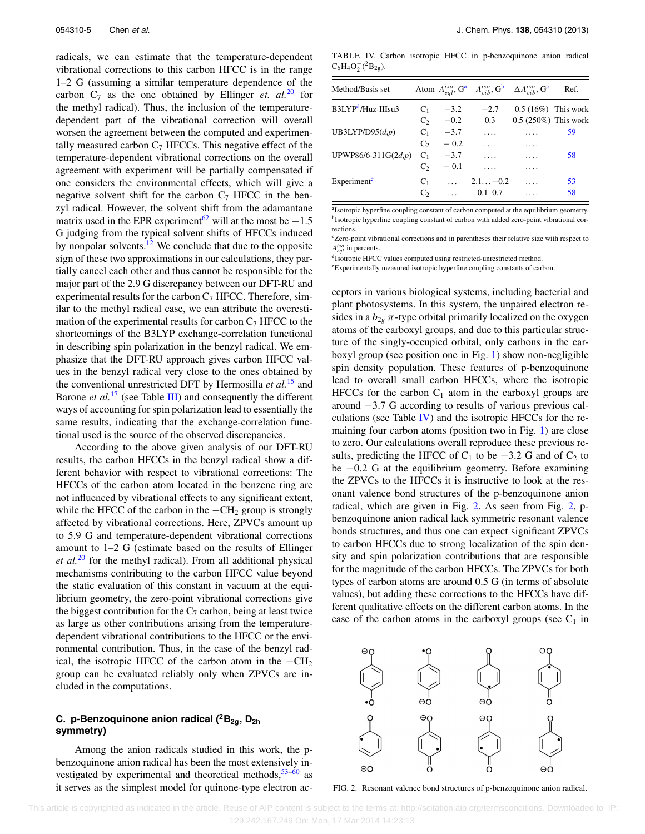radicals, we can estimate that the temperature-dependent vibrational corrections to this carbon HFCC is in the range 1–2 G (assuming a similar temperature dependence of the carbon  $C_7$  as the one obtained by Ellinger *et. al.*<sup>[20](#page-8-34)</sup> for the methyl radical). Thus, the inclusion of the temperaturedependent part of the vibrational correction will overall worsen the agreement between the computed and experimentally measured carbon  $C_7$  HFCCs. This negative effect of the temperature-dependent vibrational corrections on the overall agreement with experiment will be partially compensated if one considers the environmental effects, which will give a negative solvent shift for the carbon  $C_7$  HFCC in the benzyl radical. However, the solvent shift from the adamantane matrix used in the EPR experiment<sup>62</sup> will at the most be  $-1.5$ G judging from the typical solvent shifts of HFCCs induced by nonpolar solvents.<sup>12</sup> We conclude that due to the opposite sign of these two approximations in our calculations, they partially cancel each other and thus cannot be responsible for the major part of the 2.9 G discrepancy between our DFT-RU and experimental results for the carbon  $C_7$  HFCC. Therefore, similar to the methyl radical case, we can attribute the overestimation of the experimental results for carbon  $C_7$  HFCC to the shortcomings of the B3LYP exchange-correlation functional in describing spin polarization in the benzyl radical. We emphasize that the DFT-RU approach gives carbon HFCC values in the benzyl radical very close to the ones obtained by the conventional unrestricted DFT by Hermosilla *et al.*[15](#page-8-13) and Barone *et al.*<sup>[17](#page-8-30)</sup> (see Table [III\)](#page-4-5) and consequently the different ways of accounting for spin polarization lead to essentially the same results, indicating that the exchange-correlation functional used is the source of the observed discrepancies.

According to the above given analysis of our DFT-RU results, the carbon HFCCs in the benzyl radical show a different behavior with respect to vibrational corrections: The HFCCs of the carbon atom located in the benzene ring are not influenced by vibrational effects to any significant extent, while the HFCC of the carbon in the  $-CH<sub>2</sub>$  group is strongly affected by vibrational corrections. Here, ZPVCs amount up to 5.9 G and temperature-dependent vibrational corrections amount to 1–2 G (estimate based on the results of Ellinger *et al.*[20](#page-8-34) for the methyl radical). From all additional physical mechanisms contributing to the carbon HFCC value beyond the static evaluation of this constant in vacuum at the equilibrium geometry, the zero-point vibrational corrections give the biggest contribution for the  $C_7$  carbon, being at least twice as large as other contributions arising from the temperaturedependent vibrational contributions to the HFCC or the environmental contribution. Thus, in the case of the benzyl radical, the isotropic HFCC of the carbon atom in the  $-CH<sub>2</sub>$ group can be evaluated reliably only when ZPVCs are included in the computations.

# **C.** p-Benzoquinone anion radical (<sup>2</sup>B<sub>2g</sub>, D<sub>2h</sub>) **symmetry)**

Among the anion radicals studied in this work, the pbenzoquinone anion radical has been the most extensively investigated by experimental and theoretical methods,  $53-60$  $53-60$  as it serves as the simplest model for quinone-type electron ac-

<span id="page-5-5"></span>TABLE IV. Carbon isotropic HFCC in p-benzoquinone anion radical  $C_6H_4O_2^-(^2B_{2g}).$ 

| Method/Basis set        |                |                                            | Atom $A_{eal}^{iso}$ , $G^a$ $A_{vib}^{iso}$ , $G^b$ $\Delta A_{vib}^{iso}$ , $G^c$ |                       | Ref. |
|-------------------------|----------------|--------------------------------------------|-------------------------------------------------------------------------------------|-----------------------|------|
| $B3LYPd/Huz-IIIsu3$     | C <sub>1</sub> | $-3.2$                                     | $-2.7$                                                                              | $0.5(16%)$ This work  |      |
|                         | C <sub>2</sub> | $-0.2$                                     | 0.3                                                                                 | $0.5(250%)$ This work |      |
| UB3LYP/D95 $(d,p)$      | C <sub>1</sub> | $-3.7$                                     | $\cdots$                                                                            | $\cdots$              | 59   |
|                         | C <sub>2</sub> | $-0.2$                                     | $\cdots$                                                                            |                       |      |
| UPWP86/6-311G $(2d,p)$  | C <sub>1</sub> | $-3.7$                                     | $\sim$ $\sim$ $\sim$ $\sim$                                                         | $\cdots$              | 58   |
|                         | C <sub>2</sub> | $-0.1$                                     | $\cdots$                                                                            | .                     |      |
| Experiment <sup>e</sup> | C <sub>1</sub> | $\mathbf{1}$ , $\mathbf{1}$ , $\mathbf{1}$ | $2.1 - 0.2$                                                                         | $\cdots$              | 53   |
|                         | C <sub>2</sub> |                                            | $0.1 - 0.7$                                                                         |                       | 58   |

<span id="page-5-1"></span><span id="page-5-0"></span><sup>a</sup>Isotropic hyperfine coupling constant of carbon computed at the equilibrium geometry. bIsotropic hyperfine coupling constant of carbon with added zero-point vibrational corrections.

<span id="page-5-2"></span><sup>c</sup>Zero-point vibrational corrections and in parentheses their relative size with respect to *Aiso eql* in percents.

<span id="page-5-3"></span><sup>d</sup>Isotropic HFCC values computed using restricted-unrestricted method.

<span id="page-5-4"></span>eExperimentally measured isotropic hyperfine coupling constants of carbon.

ceptors in various biological systems, including bacterial and plant photosystems. In this system, the unpaired electron resides in a  $b_{2g}$   $\pi$ -type orbital primarily localized on the oxygen atoms of the carboxyl groups, and due to this particular structure of the singly-occupied orbital, only carbons in the carboxyl group (see position one in Fig. [1\)](#page-2-3) show non-negligible spin density population. These features of p-benzoquinone lead to overall small carbon HFCCs, where the isotropic HFCCs for the carbon  $C_1$  atom in the carboxyl groups are around −3.7 G according to results of various previous calculations (see Table [IV\)](#page-5-5) and the isotropic HFCCs for the remaining four carbon atoms (position two in Fig. [1\)](#page-2-3) are close to zero. Our calculations overall reproduce these previous results, predicting the HFCC of  $C_1$  to be  $-3.2$  G and of  $C_2$  to be −0.2 G at the equilibrium geometry. Before examining the ZPVCs to the HFCCs it is instructive to look at the resonant valence bond structures of the p-benzoquinone anion radical, which are given in Fig. [2.](#page-5-6) As seen from Fig. [2,](#page-5-6) pbenzoquinone anion radical lack symmetric resonant valence bonds structures, and thus one can expect significant ZPVCs to carbon HFCCs due to strong localization of the spin density and spin polarization contributions that are responsible for the magnitude of the carbon HFCCs. The ZPVCs for both types of carbon atoms are around 0.5 G (in terms of absolute values), but adding these corrections to the HFCCs have different qualitative effects on the different carbon atoms. In the case of the carbon atoms in the carboxyl groups (see  $C_1$  in

<span id="page-5-6"></span>

FIG. 2. Resonant valence bond structures of p-benzoquinone anion radical.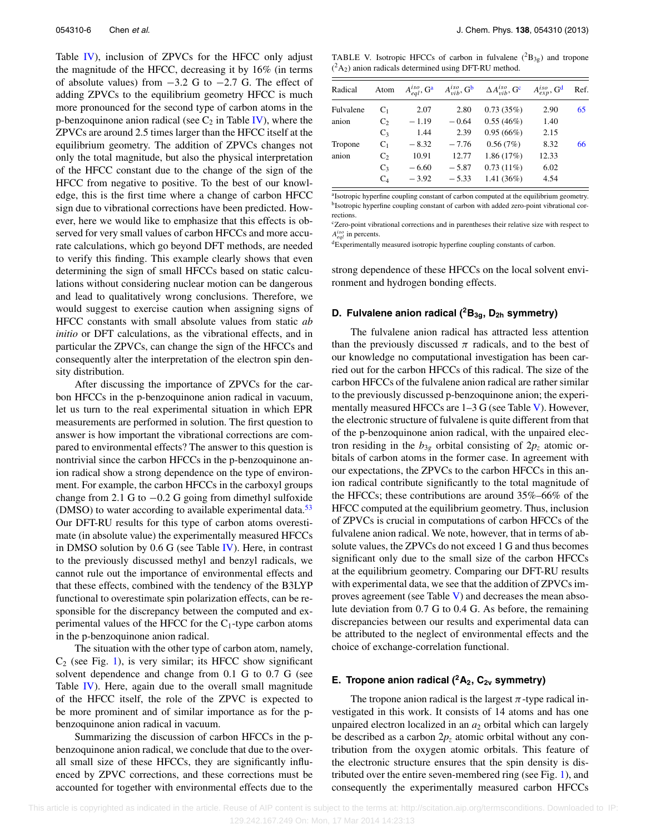Table [IV\)](#page-5-5), inclusion of ZPVCs for the HFCC only adjust the magnitude of the HFCC, decreasing it by 16% (in terms of absolute values) from  $-3.2$  G to  $-2.7$  G. The effect of adding ZPVCs to the equilibrium geometry HFCC is much more pronounced for the second type of carbon atoms in the p-benzoquinone anion radical (see  $C_2$  in Table [IV\)](#page-5-5), where the ZPVCs are around 2.5 times larger than the HFCC itself at the equilibrium geometry. The addition of ZPVCs changes not only the total magnitude, but also the physical interpretation of the HFCC constant due to the change of the sign of the HFCC from negative to positive. To the best of our knowledge, this is the first time where a change of carbon HFCC sign due to vibrational corrections have been predicted. However, here we would like to emphasize that this effects is observed for very small values of carbon HFCCs and more accurate calculations, which go beyond DFT methods, are needed to verify this finding. This example clearly shows that even determining the sign of small HFCCs based on static calculations without considering nuclear motion can be dangerous and lead to qualitatively wrong conclusions. Therefore, we would suggest to exercise caution when assigning signs of HFCC constants with small absolute values from static *ab initio* or DFT calculations, as the vibrational effects, and in particular the ZPVCs, can change the sign of the HFCCs and consequently alter the interpretation of the electron spin density distribution.

After discussing the importance of ZPVCs for the carbon HFCCs in the p-benzoquinone anion radical in vacuum, let us turn to the real experimental situation in which EPR measurements are performed in solution. The first question to answer is how important the vibrational corrections are compared to environmental effects? The answer to this question is nontrivial since the carbon HFCCs in the p-benzoquinone anion radical show a strong dependence on the type of environment. For example, the carbon HFCCs in the carboxyl groups change from 2.1 G to  $-0.2$  G going from dimethyl sulfoxide (DMSO) to water according to available experimental data. $53$ Our DFT-RU results for this type of carbon atoms overestimate (in absolute value) the experimentally measured HFCCs in DMSO solution by 0.6 G (see Table [IV\)](#page-5-5). Here, in contrast to the previously discussed methyl and benzyl radicals, we cannot rule out the importance of environmental effects and that these effects, combined with the tendency of the B3LYP functional to overestimate spin polarization effects, can be responsible for the discrepancy between the computed and experimental values of the HFCC for the  $C_1$ -type carbon atoms in the p-benzoquinone anion radical.

The situation with the other type of carbon atom, namely,  $C_2$  (see Fig. [1\)](#page-2-3), is very similar; its HFCC show significant solvent dependence and change from 0.1 G to 0.7 G (see Table [IV\)](#page-5-5). Here, again due to the overall small magnitude of the HFCC itself, the role of the ZPVC is expected to be more prominent and of similar importance as for the pbenzoquinone anion radical in vacuum.

Summarizing the discussion of carbon HFCCs in the pbenzoquinone anion radical, we conclude that due to the overall small size of these HFCCs, they are significantly influenced by ZPVC corrections, and these corrections must be accounted for together with environmental effects due to the

<span id="page-6-4"></span>TABLE V. Isotropic HFCCs of carbon in fulvalene  $(^{2}B_{3g})$  and tropone  $(^{2}A_{2})$  anion radicals determined using DFT-RU method.

| Radical   | Atom           | $A_{eal}^{iso}$ , G <sup>a</sup> | $A_{vib}^{iso}$ , G <sup>b</sup> | $\Delta A_{vib}^{iso}$ , G <sup>c</sup> | $A_{exp}^{iso}$ , G <sup>d</sup> | Ref. |
|-----------|----------------|----------------------------------|----------------------------------|-----------------------------------------|----------------------------------|------|
| Fulvalene | C <sub>1</sub> | 2.07                             | 2.80                             | 0.73(35%)                               | 2.90                             | 65   |
| anion     | C <sub>2</sub> | $-1.19$                          | $-0.64$                          | 0.55(46%)                               | 1.40                             |      |
|           | $C_3$          | 1.44                             | 2.39                             | 0.95(66%)                               | 2.15                             |      |
| Tropone   | C <sub>1</sub> | $-8.32$                          | $-7.76$                          | 0.56(7%)                                | 8.32                             | 66   |
| anion     | C <sub>2</sub> | 10.91                            | 12.77                            | 1.86(17%)                               | 12.33                            |      |
|           | $C_3$          | $-6.60$                          | $-5.87$                          | 0.73(11%)                               | 6.02                             |      |
|           | $C_4$          | $-3.92$                          | $-5.33$                          | 1.41 $(36%)$                            | 4.54                             |      |

<span id="page-6-1"></span><span id="page-6-0"></span><sup>a</sup>Isotropic hyperfine coupling constant of carbon computed at the equilibrium geometry. bIsotropic hyperfine coupling constant of carbon with added zero-point vibrational corrections.

<span id="page-6-2"></span><sup>c</sup>Zero-point vibrational corrections and in parentheses their relative size with respect to *Aiso eql* in percents.

<span id="page-6-3"></span>dExperimentally measured isotropic hyperfine coupling constants of carbon.

strong dependence of these HFCCs on the local solvent environment and hydrogen bonding effects.

### **D. Fulvalene anion radical (2B3g, D2h symmetry)**

The fulvalene anion radical has attracted less attention than the previously discussed  $\pi$  radicals, and to the best of our knowledge no computational investigation has been carried out for the carbon HFCCs of this radical. The size of the carbon HFCCs of the fulvalene anion radical are rather similar to the previously discussed p-benzoquinone anion; the experimentally measured HFCCs are  $1-3$  G (see Table [V\)](#page-6-4). However, the electronic structure of fulvalene is quite different from that of the p-benzoquinone anion radical, with the unpaired electron residing in the  $b_{3g}$  orbital consisting of  $2p_z$  atomic orbitals of carbon atoms in the former case. In agreement with our expectations, the ZPVCs to the carbon HFCCs in this anion radical contribute significantly to the total magnitude of the HFCCs; these contributions are around 35%–66% of the HFCC computed at the equilibrium geometry. Thus, inclusion of ZPVCs is crucial in computations of carbon HFCCs of the fulvalene anion radical. We note, however, that in terms of absolute values, the ZPVCs do not exceed 1 G and thus becomes significant only due to the small size of the carbon HFCCs at the equilibrium geometry. Comparing our DFT-RU results with experimental data, we see that the addition of ZPVCs improves agreement (see Table [V\)](#page-6-4) and decreases the mean absolute deviation from 0.7 G to 0.4 G. As before, the remaining discrepancies between our results and experimental data can be attributed to the neglect of environmental effects and the choice of exchange-correlation functional.

#### **E. Tropone anion radical (** ${}^2A_2$ **,**  $C_{2v}$  **symmetry)**

The tropone anion radical is the largest  $\pi$ -type radical investigated in this work. It consists of 14 atoms and has one unpaired electron localized in an *a*<sup>2</sup> orbital which can largely be described as a carbon  $2p<sub>z</sub>$  atomic orbital without any contribution from the oxygen atomic orbitals. This feature of the electronic structure ensures that the spin density is distributed over the entire seven-membered ring (see Fig. [1\)](#page-2-3), and consequently the experimentally measured carbon HFCCs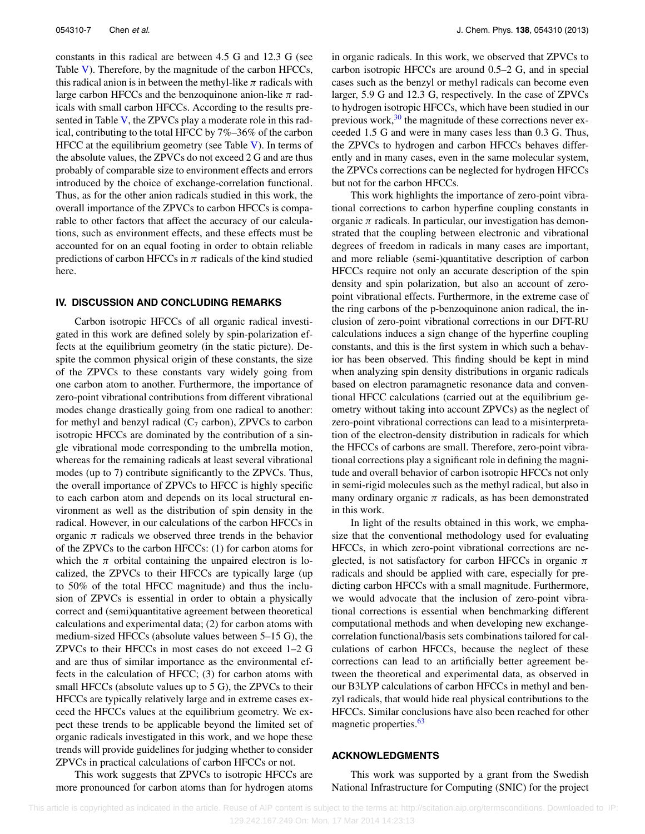constants in this radical are between 4.5 G and 12.3 G (see Table  $V$ ). Therefore, by the magnitude of the carbon HFCCs, this radical anion is in between the methyl-like  $\pi$  radicals with large carbon HFCCs and the benzoquinone anion-like  $\pi$  radicals with small carbon HFCCs. According to the results pre-sented in Table [V,](#page-6-4) the ZPVCs play a moderate role in this radical, contributing to the total HFCC by 7%–36% of the carbon HFCC at the equilibrium geometry (see Table [V\)](#page-6-4). In terms of the absolute values, the ZPVCs do not exceed 2 G and are thus probably of comparable size to environment effects and errors introduced by the choice of exchange-correlation functional. Thus, as for the other anion radicals studied in this work, the overall importance of the ZPVCs to carbon HFCCs is comparable to other factors that affect the accuracy of our calculations, such as environment effects, and these effects must be accounted for on an equal footing in order to obtain reliable predictions of carbon HFCCs in  $\pi$  radicals of the kind studied here.

#### <span id="page-7-0"></span>**IV. DISCUSSION AND CONCLUDING REMARKS**

Carbon isotropic HFCCs of all organic radical investigated in this work are defined solely by spin-polarization effects at the equilibrium geometry (in the static picture). Despite the common physical origin of these constants, the size of the ZPVCs to these constants vary widely going from one carbon atom to another. Furthermore, the importance of zero-point vibrational contributions from different vibrational modes change drastically going from one radical to another: for methyl and benzyl radical  $(C_7 \text{ carbon})$ , ZPVCs to carbon isotropic HFCCs are dominated by the contribution of a single vibrational mode corresponding to the umbrella motion, whereas for the remaining radicals at least several vibrational modes (up to 7) contribute significantly to the ZPVCs. Thus, the overall importance of ZPVCs to HFCC is highly specific to each carbon atom and depends on its local structural environment as well as the distribution of spin density in the radical. However, in our calculations of the carbon HFCCs in organic  $\pi$  radicals we observed three trends in the behavior of the ZPVCs to the carbon HFCCs: (1) for carbon atoms for which the  $\pi$  orbital containing the unpaired electron is localized, the ZPVCs to their HFCCs are typically large (up to 50% of the total HFCC magnitude) and thus the inclusion of ZPVCs is essential in order to obtain a physically correct and (semi)quantitative agreement between theoretical calculations and experimental data; (2) for carbon atoms with medium-sized HFCCs (absolute values between 5–15 G), the ZPVCs to their HFCCs in most cases do not exceed 1–2 G and are thus of similar importance as the environmental effects in the calculation of HFCC; (3) for carbon atoms with small HFCCs (absolute values up to 5 G), the ZPVCs to their HFCCs are typically relatively large and in extreme cases exceed the HFCCs values at the equilibrium geometry. We expect these trends to be applicable beyond the limited set of organic radicals investigated in this work, and we hope these trends will provide guidelines for judging whether to consider ZPVCs in practical calculations of carbon HFCCs or not.

This work suggests that ZPVCs to isotropic HFCCs are more pronounced for carbon atoms than for hydrogen atoms in organic radicals. In this work, we observed that ZPVCs to carbon isotropic HFCCs are around 0.5–2 G, and in special cases such as the benzyl or methyl radicals can become even larger, 5.9 G and 12.3 G, respectively. In the case of ZPVCs to hydrogen isotropic HFCCs, which have been studied in our previous work, $30$  the magnitude of these corrections never exceeded 1.5 G and were in many cases less than 0.3 G. Thus, the ZPVCs to hydrogen and carbon HFCCs behaves differently and in many cases, even in the same molecular system, the ZPVCs corrections can be neglected for hydrogen HFCCs but not for the carbon HFCCs.

This work highlights the importance of zero-point vibrational corrections to carbon hyperfine coupling constants in organic  $\pi$  radicals. In particular, our investigation has demonstrated that the coupling between electronic and vibrational degrees of freedom in radicals in many cases are important, and more reliable (semi-)quantitative description of carbon HFCCs require not only an accurate description of the spin density and spin polarization, but also an account of zeropoint vibrational effects. Furthermore, in the extreme case of the ring carbons of the p-benzoquinone anion radical, the inclusion of zero-point vibrational corrections in our DFT-RU calculations induces a sign change of the hyperfine coupling constants, and this is the first system in which such a behavior has been observed. This finding should be kept in mind when analyzing spin density distributions in organic radicals based on electron paramagnetic resonance data and conventional HFCC calculations (carried out at the equilibrium geometry without taking into account ZPVCs) as the neglect of zero-point vibrational corrections can lead to a misinterpretation of the electron-density distribution in radicals for which the HFCCs of carbons are small. Therefore, zero-point vibrational corrections play a significant role in defining the magnitude and overall behavior of carbon isotropic HFCCs not only in semi-rigid molecules such as the methyl radical, but also in many ordinary organic  $\pi$  radicals, as has been demonstrated in this work.

In light of the results obtained in this work, we emphasize that the conventional methodology used for evaluating HFCCs, in which zero-point vibrational corrections are neglected, is not satisfactory for carbon HFCCs in organic *π* radicals and should be applied with care, especially for predicting carbon HFCCs with a small magnitude. Furthermore, we would advocate that the inclusion of zero-point vibrational corrections is essential when benchmarking different computational methods and when developing new exchangecorrelation functional/basis sets combinations tailored for calculations of carbon HFCCs, because the neglect of these corrections can lead to an artificially better agreement between the theoretical and experimental data, as observed in our B3LYP calculations of carbon HFCCs in methyl and benzyl radicals, that would hide real physical contributions to the HFCCs. Similar conclusions have also been reached for other magnetic properties.<sup>63</sup>

## **ACKNOWLEDGMENTS**

This work was supported by a grant from the Swedish National Infrastructure for Computing (SNIC) for the project